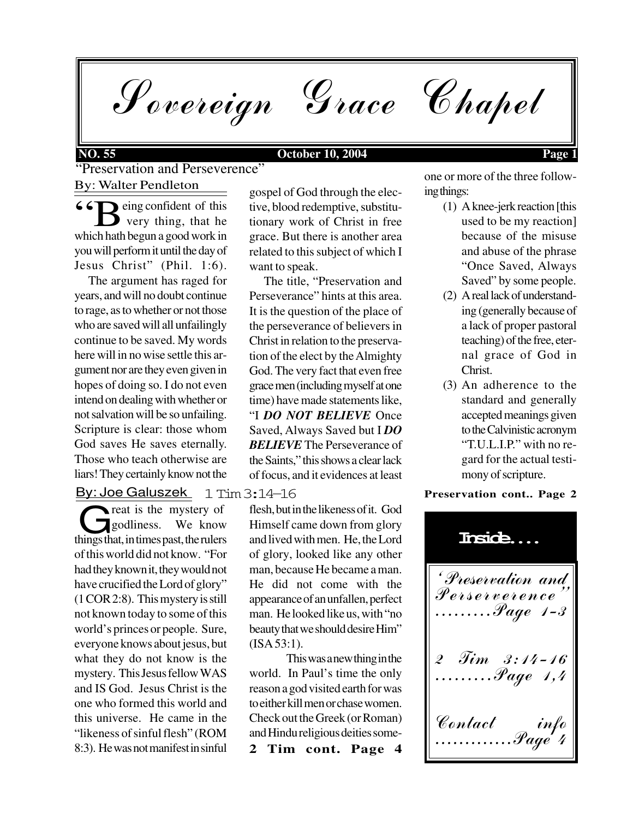Sovereign Grace Chapel

### By: Walter Pendleton "Preservation and Perseverence"

 eing confident of this **very thing, that he** which hath begun a good work in you will perform it until the day of Jesus Christ" (Phil. 1:6). <sup>"</sup>B"

 The argument has raged for years, and will no doubt continue to rage, as to whether or not those who are saved will all unfailingly continue to be saved. My words here will in no wise settle this argument nor are they even given in hopes of doing so. I do not even intend on dealing with whether or not salvation will be so unfailing. Scripture is clear: those whom God saves He saves eternally. Those who teach otherwise are liars! They certainly know not the

By: Joe Galuszek

reat is the mystery of godliness. We know Treat is the mystery of<br>things that, in times past, the rulers of this world did not know. "For had they known it, they would not have crucified the Lord of glory" (1 COR 2:8). This mystery is still not known today to some of this world's princes or people. Sure, everyone knows about jesus, but what they do not know is the mystery. This Jesus fellow WAS and IS God. Jesus Christ is the one who formed this world and this universe. He came in the "likeness of sinful flesh" (ROM 8:3). He was not manifest in sinful

gospel of God through the elective, blood redemptive, substitutionary work of Christ in free grace. But there is another area related to this subject of which I want to speak.

 The title, "Preservation and Perseverance" hints at this area. It is the question of the place of the perseverance of believers in Christ in relation to the preservation of the elect by the Almighty God. The very fact that even free grace men (including myself at one time) have made statements like, "I *DO NOT BELIEVE* Once Saved, Always Saved but I *DO BELIEVE* The Perseverance of the Saints," this shows a clear lack of focus, and it evidences at least

1 Tim 3:14-16

flesh, but in the likeness of it. God Himself came down from glory and lived with men. He, the Lord of glory, looked like any other man, because He became a man. He did not come with the appearance of an unfallen, perfect man. He looked like us, with "no beauty that we should desire Him" (ISA 53:1).

**2 Tim cont. Page 4** This was a new thing in the world. In Paul's time the only reason a god visited earth for was to either kill men or chase women. Check out the Greek (or Roman) and Hindu religious deities someone or more of the three following things:

- (1) A knee-jerk reaction [this used to be my reaction] because of the misuse and abuse of the phrase "Once Saved, Always Saved" by some people.
- (2) A real lack of understanding (generally because of a lack of proper pastoral teaching) of the free, eternal grace of God in Christ.
- (3) An adherence to the standard and generally accepted meanings given to the Calvinistic acronym "T.U.L.I.P." with no regard for the actual testimony of scripture.

#### **Preservation cont.. Page 2**

ëPreservation and Perserverenceî .........Page 1-3 2 Tim 3:14-16 .........Page 1,4 Contact info .............Page 4 **Inside....**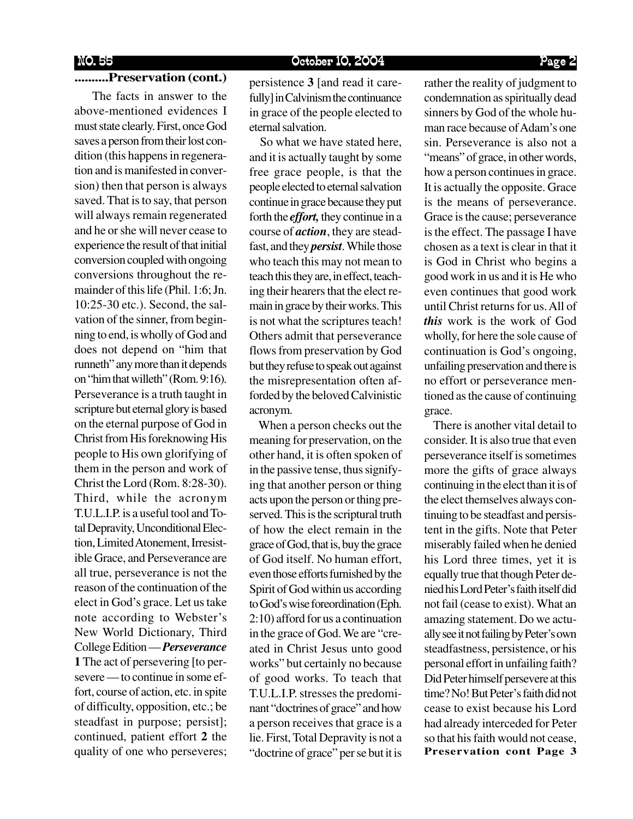### **..........Preservation (cont.)**

 The facts in answer to the above-mentioned evidences I must state clearly. First, once God saves a person from their lost condition (this happens in regeneration and is manifested in conversion) then that person is always saved. That is to say, that person will always remain regenerated and he or she will never cease to experience the result of that initial conversion coupled with ongoing conversions throughout the remainder of this life (Phil. 1:6; Jn. 10:25-30 etc.). Second, the salvation of the sinner, from beginning to end, is wholly of God and does not depend on "him that runneth" any more than it depends on "him that willeth" (Rom. 9:16). Perseverance is a truth taught in scripture but eternal glory is based on the eternal purpose of God in Christ from His foreknowing His people to His own glorifying of them in the person and work of Christ the Lord (Rom. 8:28-30). Third, while the acronym T.U.L.I.P. is a useful tool and Total Depravity, Unconditional Election, Limited Atonement, Irresistible Grace, and Perseverance are all true, perseverance is not the reason of the continuation of the elect in God's grace. Let us take note according to Webster's New World Dictionary, Third College Edition — *Perseverance* **1** The act of persevering [to persevere — to continue in some effort, course of action, etc. in spite of difficulty, opposition, etc.; be steadfast in purpose; persist]; continued, patient effort **2** the quality of one who perseveres;

persistence **3** [and read it carefully] in Calvinism the continuance in grace of the people elected to eternal salvation.

 So what we have stated here, and it is actually taught by some free grace people, is that the people elected to eternal salvation continue in grace because they put forth the *effort,* they continue in a course of *action*, they are steadfast, and they *persist*. While those who teach this may not mean to teach this they are, in effect, teaching their hearers that the elect remain in grace by their works. This is not what the scriptures teach! Others admit that perseverance flows from preservation by God but they refuse to speak out against the misrepresentation often afforded by the beloved Calvinistic acronym.

 When a person checks out the meaning for preservation, on the other hand, it is often spoken of in the passive tense, thus signifying that another person or thing acts upon the person or thing preserved. This is the scriptural truth of how the elect remain in the grace of God, that is, buy the grace of God itself. No human effort, even those efforts furnished by the Spirit of God within us according to God's wise foreordination (Eph. 2:10) afford for us a continuation in the grace of God. We are "created in Christ Jesus unto good works" but certainly no because of good works. To teach that T.U.L.I.P. stresses the predominant "doctrines of grace" and how a person receives that grace is a lie. First, Total Depravity is not a "doctrine of grace" per se but it is

rather the reality of judgment to condemnation as spiritually dead sinners by God of the whole human race because of Adam's one sin. Perseverance is also not a "means" of grace, in other words, how a person continues in grace. It is actually the opposite. Grace is the means of perseverance. Grace is the cause; perseverance is the effect. The passage I have chosen as a text is clear in that it is God in Christ who begins a good work in us and it is He who even continues that good work until Christ returns for us. All of *this* work is the work of God wholly, for here the sole cause of continuation is God's ongoing, unfailing preservation and there is no effort or perseverance mentioned as the cause of continuing grace.

**Preservation cont Page 3** There is another vital detail to consider. It is also true that even perseverance itself is sometimes more the gifts of grace always continuing in the elect than it is of the elect themselves always continuing to be steadfast and persistent in the gifts. Note that Peter miserably failed when he denied his Lord three times, yet it is equally true that though Peter denied his Lord Peter's faith itself did not fail (cease to exist). What an amazing statement. Do we actually see it not failing by Peter's own steadfastness, persistence, or his personal effort in unfailing faith? Did Peter himself persevere at this time? No! But Peter's faith did not cease to exist because his Lord had already interceded for Peter so that his faith would not cease,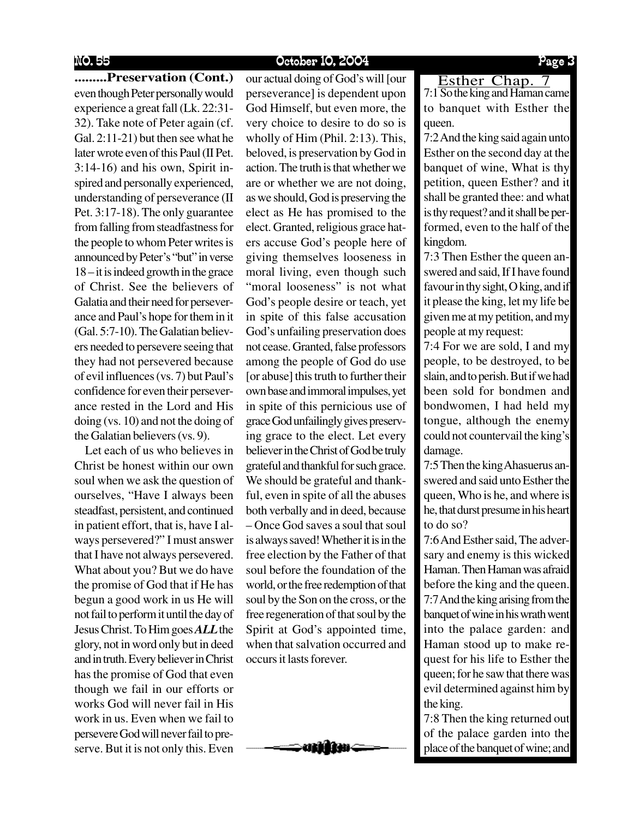**.........Preservation (Cont.)** our actual doing of God's will [our **........ Esther Chap. 7** even though Peter personally would experience a great fall (Lk. 22:31- 32). Take note of Peter again (cf. Gal. 2:11-21) but then see what he later wrote even of this Paul (II Pet. 3:14-16) and his own, Spirit inspired and personally experienced, understanding of perseverance (II Pet. 3:17-18). The only guarantee from falling from steadfastness for the people to whom Peter writes is announced by Peter's "but" in verse

18 – it is indeed growth in the grace of Christ. See the believers of Galatia and their need for perseverance and Paul's hope for them in it (Gal. 5:7-10). The Galatian believers needed to persevere seeing that they had not persevered because of evil influences (vs. 7) but Paul's confidence for even their perseverance rested in the Lord and His doing (vs. 10) and not the doing of the Galatian believers (vs. 9).

 Let each of us who believes in Christ be honest within our own soul when we ask the question of ourselves, "Have I always been steadfast, persistent, and continued in patient effort, that is, have I always persevered?" I must answer that I have not always persevered. What about you? But we do have the promise of God that if He has begun a good work in us He will not fail to perform it until the day of Jesus Christ. To Him goes *ALL*the glory, not in word only but in deed and in truth. Every believer in Christ has the promise of God that even though we fail in our efforts or works God will never fail in His work in us. Even when we fail to persevere God will never fail to preserve. But it is not only this. Even

perseverance] is dependent upon God Himself, but even more, the very choice to desire to do so is wholly of Him (Phil. 2:13). This, beloved, is preservation by God in action. The truth is that whether we are or whether we are not doing, as we should, God is preserving the elect as He has promised to the elect. Granted, religious grace haters accuse God's people here of giving themselves looseness in moral living, even though such "moral looseness" is not what God's people desire or teach, yet in spite of this false accusation God's unfailing preservation does not cease. Granted, false professors among the people of God do use [or abuse] this truth to further their own base and immoral impulses, yet in spite of this pernicious use of grace God unfailingly gives preserving grace to the elect. Let every believer in the Christ of God be truly grateful and thankful for such grace. We should be grateful and thankful, even in spite of all the abuses both verbally and in deed, because – Once God saves a soul that soul is always saved! Whether it is in the free election by the Father of that soul before the foundation of the world, or the free redemption of that soul by the Son on the cross, or the free regeneration of that soul by the Spirit at God's appointed time, when that salvation occurred and occurs it lasts forever.



Esther Chap. 7<br>7:1 So the king and Haman came to banquet with Esther the queen.

7:2 And the king said again unto Esther on the second day at the banquet of wine, What is thy petition, queen Esther? and it shall be granted thee: and what is thy request? and it shall be performed, even to the half of the kingdom.

7:3 Then Esther the queen answered and said, If I have found favour in thy sight, O king, and if it please the king, let my life be given me at my petition, and my people at my request:

7:4 For we are sold, I and my people, to be destroyed, to be slain, and to perish. But if we had been sold for bondmen and bondwomen, I had held my tongue, although the enemy could not countervail the king's damage.

7:5 Then the king Ahasuerus answered and said unto Esther the queen, Who is he, and where is he, that durst presume in his heart to do so?

7:6 And Esther said, The adversary and enemy is this wicked Haman. Then Haman was afraid before the king and the queen. 7:7 And the king arising from the banquet of wine in his wrath went into the palace garden: and Haman stood up to make request for his life to Esther the queen; for he saw that there was evil determined against him by the king.

7:8 Then the king returned out of the palace garden into the place of the banquet of wine; and